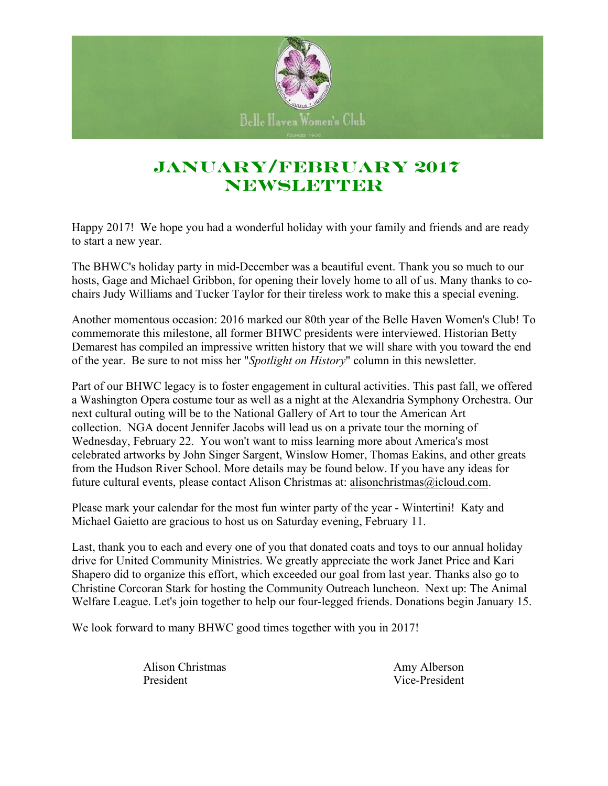

# **January/February 2017 NEWSLETTER**

Happy 2017! We hope you had a wonderful holiday with your family and friends and are ready to start a new year.

The BHWC's holiday party in mid-December was a beautiful event. Thank you so much to our hosts, Gage and Michael Gribbon, for opening their lovely home to all of us. Many thanks to cochairs Judy Williams and Tucker Taylor for their tireless work to make this a special evening.

Another momentous occasion: 2016 marked our 80th year of the Belle Haven Women's Club! To commemorate this milestone, all former BHWC presidents were interviewed. Historian Betty Demarest has compiled an impressive written history that we will share with you toward the end of the year. Be sure to not miss her "*Spotlight on History*" column in this newsletter.

Part of our BHWC legacy is to foster engagement in cultural activities. This past fall, we offered a Washington Opera costume tour as well as a night at the Alexandria Symphony Orchestra. Our next cultural outing will be to the National Gallery of Art to tour the American Art collection. NGA docent Jennifer Jacobs will lead us on a private tour the morning of Wednesday, February 22. You won't want to miss learning more about America's most celebrated artworks by John Singer Sargent, Winslow Homer, Thomas Eakins, and other greats from the Hudson River School. More details may be found below. If you have any ideas for future cultural events, please contact Alison Christmas at: alisonchristmas@icloud.com.

Please mark your calendar for the most fun winter party of the year - Wintertini! Katy and Michael Gaietto are gracious to host us on Saturday evening, February 11.

Last, thank you to each and every one of you that donated coats and toys to our annual holiday drive for United Community Ministries. We greatly appreciate the work Janet Price and Kari Shapero did to organize this effort, which exceeded our goal from last year. Thanks also go to Christine Corcoran Stark for hosting the Community Outreach luncheon. Next up: The Animal Welfare League. Let's join together to help our four-legged friends. Donations begin January 15.

We look forward to many BHWC good times together with you in 2017!

Alison Christmas Amy Alberson President Vice-President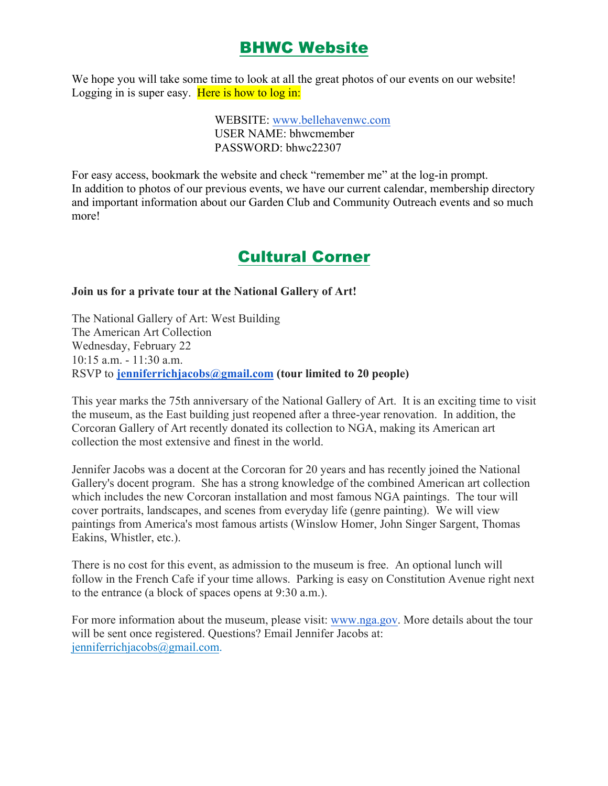### BHWC Website

We hope you will take some time to look at all the great photos of our events on our website! Logging in is super easy. Here is how to log in:

> WEBSITE: www.bellehavenwc.com USER NAME: bhwcmember PASSWORD: bhwc22307

For easy access, bookmark the website and check "remember me" at the log-in prompt. In addition to photos of our previous events, we have our current calendar, membership directory and important information about our Garden Club and Community Outreach events and so much more!

### Cultural Corner

#### **Join us for a private tour at the National Gallery of Art!**

The National Gallery of Art: West Building The American Art Collection Wednesday, February 22 10:15 a.m. - 11:30 a.m. RSVP to **jenniferrichjacobs@gmail.com (tour limited to 20 people)**

This year marks the 75th anniversary of the National Gallery of Art. It is an exciting time to visit the museum, as the East building just reopened after a three-year renovation. In addition, the Corcoran Gallery of Art recently donated its collection to NGA, making its American art collection the most extensive and finest in the world.

Jennifer Jacobs was a docent at the Corcoran for 20 years and has recently joined the National Gallery's docent program. She has a strong knowledge of the combined American art collection which includes the new Corcoran installation and most famous NGA paintings. The tour will cover portraits, landscapes, and scenes from everyday life (genre painting). We will view paintings from America's most famous artists (Winslow Homer, John Singer Sargent, Thomas Eakins, Whistler, etc.).

There is no cost for this event, as admission to the museum is free. An optional lunch will follow in the French Cafe if your time allows. Parking is easy on Constitution Avenue right next to the entrance (a block of spaces opens at 9:30 a.m.).

For more information about the museum, please visit: www.nga.gov. More details about the tour will be sent once registered. Questions? Email Jennifer Jacobs at: jenniferrichjacobs@gmail.com.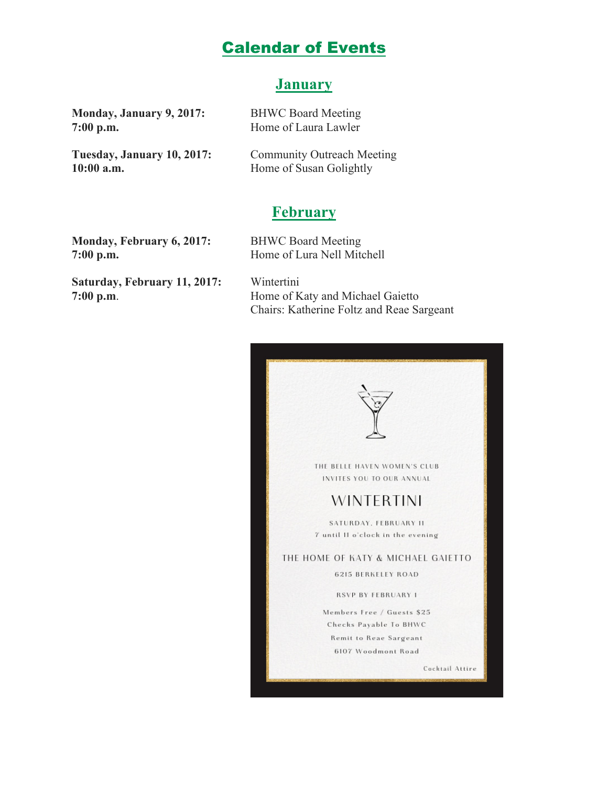#### Calendar of Events

#### **January**

**Monday, January 9, 2017:** BHWC Board Meeting **7:00 p.m.** Home of Laura Lawler

Tuesday, January 10, 2017: Community Outreach Meeting **10:00 a.m.** Home of Susan Golightly

#### **February**

**Monday, February 6, 2017:** BHWC Board Meeting **7:00 p.m.** Home of Lura Nell Mitchell

**Saturday, February 11, 2017:** Wintertini

**7:00 p.m**. Home of Katy and Michael Gaietto Chairs: Katherine Foltz and Reae Sargeant

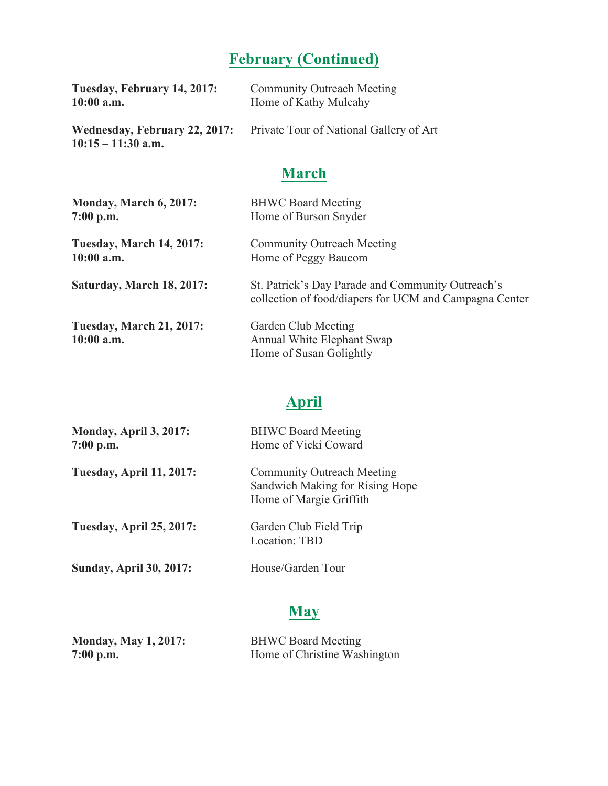# **February (Continued)**

| Tuesday, February 14, 2017: | <b>Community Outreach Meeting</b>                                            |
|-----------------------------|------------------------------------------------------------------------------|
| $10:00$ a.m.                | Home of Kathy Mulcahy                                                        |
| $10:15 - 11:30$ a.m.        | <b>Wednesday, February 22, 2017:</b> Private Tour of National Gallery of Art |

# **March**

| Monday, March 6, 2017:                          | <b>BHWC Board Meeting</b>                                                                                   |
|-------------------------------------------------|-------------------------------------------------------------------------------------------------------------|
| $7:00$ p.m.                                     | Home of Burson Snyder                                                                                       |
| <b>Tuesday, March 14, 2017:</b>                 | <b>Community Outreach Meeting</b>                                                                           |
| $10:00$ a.m.                                    | Home of Peggy Baucom                                                                                        |
| Saturday, March 18, 2017:                       | St. Patrick's Day Parade and Community Outreach's<br>collection of food/diapers for UCM and Campagna Center |
| <b>Tuesday, March 21, 2017:</b><br>$10:00$ a.m. | Garden Club Meeting<br>Annual White Elephant Swap<br>Home of Susan Golightly                                |

# **April**

| Monday, April 3, 2017:<br>$7:00$ p.m. | <b>BHWC Board Meeting</b><br>Home of Vicki Coward                                               |
|---------------------------------------|-------------------------------------------------------------------------------------------------|
| <b>Tuesday, April 11, 2017:</b>       | <b>Community Outreach Meeting</b><br>Sandwich Making for Rising Hope<br>Home of Margie Griffith |
| <b>Tuesday, April 25, 2017:</b>       | Garden Club Field Trip<br>Location: TBD                                                         |
| <b>Sunday, April 30, 2017:</b>        | House/Garden Tour                                                                               |

# **May**

| <b>Monday, May 1, 2017:</b> | <b>BHWC Board Meeting</b>    |
|-----------------------------|------------------------------|
| $7:00$ p.m.                 | Home of Christine Washington |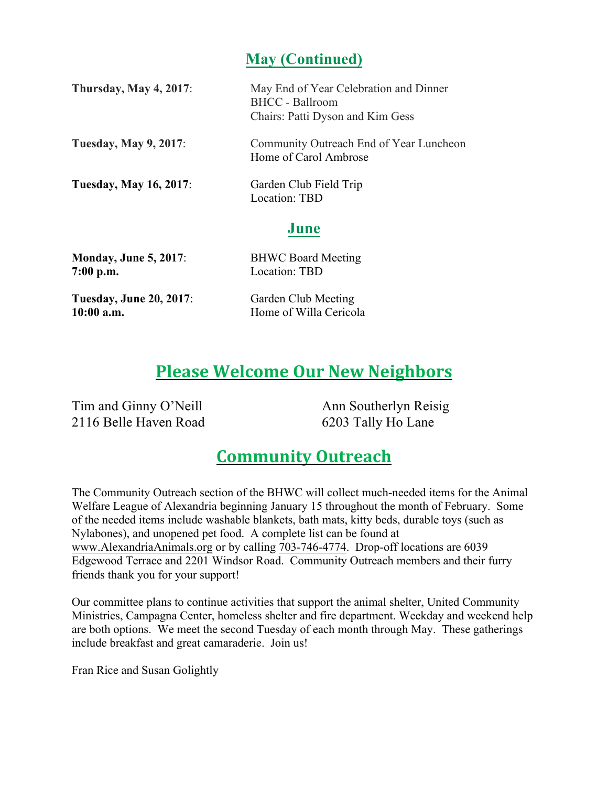#### **May (Continued)**

| <b>Thursday, May 4, 2017:</b> | May End of Year Celebration and Dinner<br><b>BHCC</b> - Ballroom<br>Chairs: Patti Dyson and Kim Gess |
|-------------------------------|------------------------------------------------------------------------------------------------------|
| <b>Tuesday, May 9, 2017:</b>  | Community Outreach End of Year Luncheon<br>Home of Carol Ambrose                                     |
| <b>Tuesday, May 16, 2017:</b> | Garden Club Field Trip<br>Location: TBD                                                              |
|                               | June                                                                                                 |
| <b>Monday, June 5, 2017:</b>  | <b>BHWC Board Meeting</b>                                                                            |

| $7:00$ p.m.                    | Location: TBD          |
|--------------------------------|------------------------|
| <b>Tuesday, June 20, 2017:</b> | Garden Club Meeting    |
| $10:00$ a.m.                   | Home of Willa Cericola |

# **Please Welcome Our New Neighbors**

Tim and Ginny O'Neill 2116 Belle Haven Road

Ann Southerlyn Reisig 6203 Tally Ho Lane

### **Community Outreach**

The Community Outreach section of the BHWC will collect much-needed items for the Animal Welfare League of Alexandria beginning January 15 throughout the month of February. Some of the needed items include washable blankets, bath mats, kitty beds, durable toys (such as Nylabones), and unopened pet food. A complete list can be found at www.AlexandriaAnimals.org or by calling 703-746-4774. Drop-off locations are 6039 Edgewood Terrace and 2201 Windsor Road. Community Outreach members and their furry friends thank you for your support!

Our committee plans to continue activities that support the animal shelter, United Community Ministries, Campagna Center, homeless shelter and fire department. Weekday and weekend help are both options. We meet the second Tuesday of each month through May. These gatherings include breakfast and great camaraderie. Join us!

Fran Rice and Susan Golightly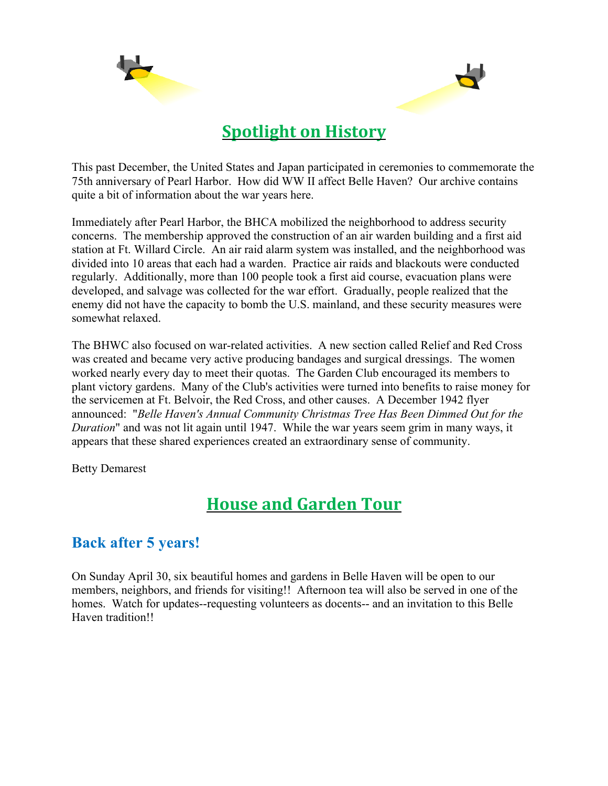



# **Spotlight on History**

This past December, the United States and Japan participated in ceremonies to commemorate the 75th anniversary of Pearl Harbor. How did WW II affect Belle Haven? Our archive contains quite a bit of information about the war years here.

Immediately after Pearl Harbor, the BHCA mobilized the neighborhood to address security concerns. The membership approved the construction of an air warden building and a first aid station at Ft. Willard Circle. An air raid alarm system was installed, and the neighborhood was divided into 10 areas that each had a warden. Practice air raids and blackouts were conducted regularly. Additionally, more than 100 people took a first aid course, evacuation plans were developed, and salvage was collected for the war effort. Gradually, people realized that the enemy did not have the capacity to bomb the U.S. mainland, and these security measures were somewhat relaxed.

The BHWC also focused on war-related activities. A new section called Relief and Red Cross was created and became very active producing bandages and surgical dressings. The women worked nearly every day to meet their quotas. The Garden Club encouraged its members to plant victory gardens. Many of the Club's activities were turned into benefits to raise money for the servicemen at Ft. Belvoir, the Red Cross, and other causes. A December 1942 flyer announced: "*Belle Haven's Annual Community Christmas Tree Has Been Dimmed Out for the Duration*" and was not lit again until 1947. While the war years seem grim in many ways, it appears that these shared experiences created an extraordinary sense of community.

Betty Demarest

# **House and Garden Tour**

#### **Back after 5 years!**

On Sunday April 30, six beautiful homes and gardens in Belle Haven will be open to our members, neighbors, and friends for visiting!! Afternoon tea will also be served in one of the homes. Watch for updates--requesting volunteers as docents-- and an invitation to this Belle Haven tradition!!